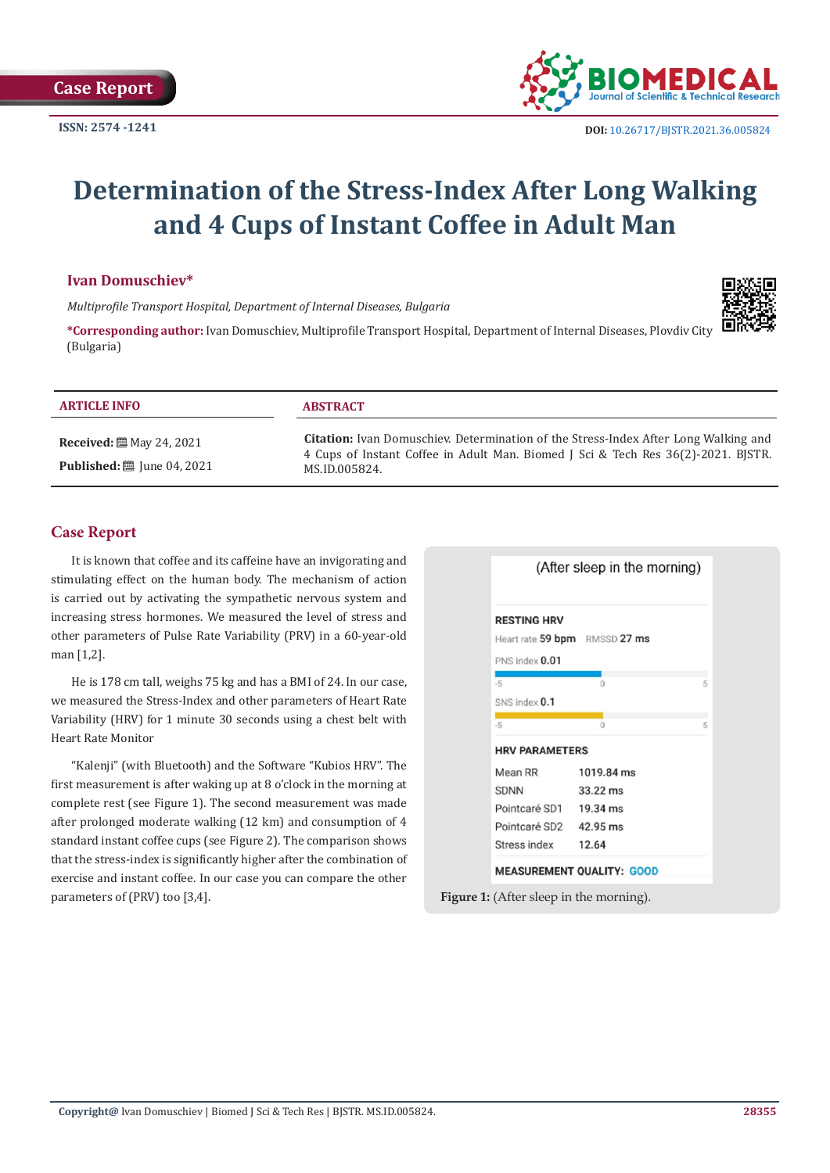

# **Determination of the Stress-Index After Long Walking and 4 Cups of Instant Coffee in Adult Man**

#### **Ivan Domuschiev\***

*Multiprofile Transport Hospital, Department of Internal Diseases, Bulgaria*



**\*Corresponding author:** Ivan Domuschiev, Multiprofile Transport Hospital, Department of Internal Diseases, Plovdiv City (Bulgaria)

#### **ARTICLE INFO ABSTRACT**

**Received:** 圖 May 24, 2021 **Published:** ■ June 04, 2021

**Citation:** Ivan Domuschiev. Determination of the Stress-Index After Long Walking and 4 Cups of Instant Coffee in Adult Man. Biomed J Sci & Tech Res 36(2)-2021. BJSTR. MS.ID.005824.

### **Case Report**

It is known that coffee and its caffeine have an invigorating and stimulating effect on the human body. The mechanism of action is carried out by activating the sympathetic nervous system and increasing stress hormones. We measured the level of stress and other parameters of Pulse Rate Variability (PRV) in a 60-year-old man [1,2].

He is 178 cm tall, weighs 75 kg and has a BMI of 24. In our case, we measured the Stress-Index and other parameters of Heart Rate Variability (HRV) for 1 minute 30 seconds using a chest belt with Heart Rate Monitor

"Kalenji" (with Bluetooth) and the Software "Kubios HRV". The first measurement is after waking up at 8 o'clock in the morning at complete rest (see Figure 1). The second measurement was made after prolonged moderate walking (12 km) and consumption of 4 standard instant coffee cups (see Figure 2). The comparison shows that the stress-index is significantly higher after the combination of exercise and instant coffee. In our case you can compare the other parameters of (PRV) too [3,4]. **Figure 1:** (After sleep in the morning).

| <b>RESTING HRV</b>     |                               |   |
|------------------------|-------------------------------|---|
|                        | Heart rate 59 bpm RMSSD 27 ms |   |
| PNS index 0.01         |                               |   |
| $-5$                   | $\Omega$                      | 5 |
| SNS index 0.1          |                               |   |
| $-5$                   | 0                             | 5 |
| <b>HRV PARAMETERS</b>  |                               |   |
| Mean RR                | 1019.84 ms                    |   |
| SDNN                   | 33.22 ms                      |   |
| Pointcaré SD1 19.34 ms |                               |   |
| Pointcaré SD2 42.95 ms |                               |   |
| Stress index           | 12.64                         |   |